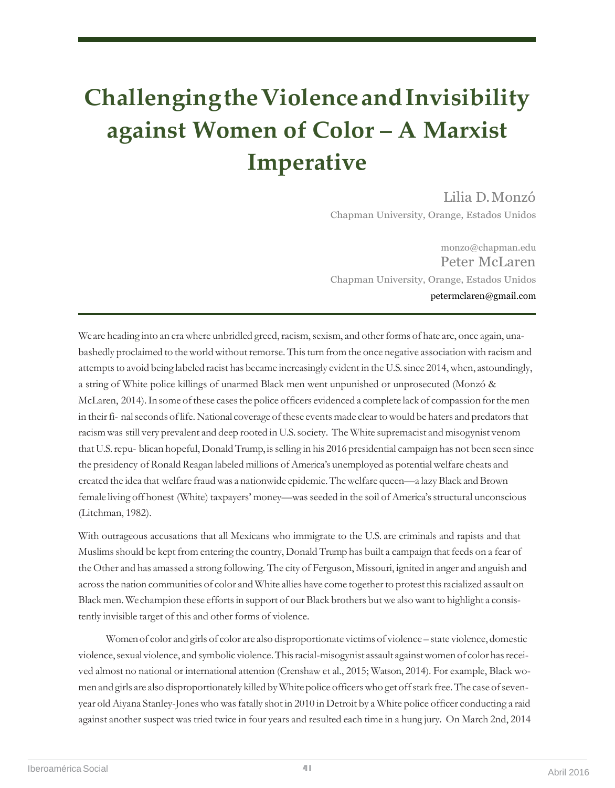## **ChallengingtheViolenceandInvisibility against Women of Color – A Marxist Imperative**

Lilia D.Monzó

Chapman University, Orange, Estados Unidos

[monz](mailto:monzo@chapman.edu)[o@chapman.edu](mailto:o@chapman.edu) Peter McLaren Chapman University, Orange, Estados Unidos petermclaren@gmail.com

We are heading into an era where unbridled greed, racism, sexism, and other forms of hate are, once again, unabashedly proclaimed to the world without remorse. This turn from the once negative association with racism and attempts to avoid being labeled racist has became increasingly evident in the U.S. since 2014, when, astoundingly, a string of White police killings of unarmed Black men went unpunished or unprosecuted (Monzó & McLaren, 2014). In some of these cases the police officers evidenced a complete lack of compassion for the men in their fi- nal seconds of life. National coverage of these events made clear to would be haters and predators that racismwas still very prevalent and deep rooted in U.S.society. The White supremacist and misogynist venom that U.S.repu- blican hopeful, Donald Trump, isselling in his 2016 presidential campaign has not been seen since the presidency of Ronald Reagan labeled millions of America's unemployed as potential welfare cheats and created the idea that welfare fraudwas a nationwide epidemic.Thewelfare queen—a lazyBlack and Brown female living off honest (White) taxpayers' money—was seeded in the soil of America's structural unconscious (Litchman, 1982).

With outrageous accusations that all Mexicans who immigrate to the U.S. are criminals and rapists and that Muslims should be kept from entering the country, Donald Trump has built a campaign that feeds on a fear of the Other and has amassed a strong following. The city of Ferguson, Missouri, ignited in anger and anguish and across the nation communities of color and White allies have come together to protest this racialized assault on Black men. We champion these efforts in support of our Black brothers but we also want to highlight a consistently invisible target of this and other forms of violence.

Women of color and girls of color are also disproportionate victims of violence – state violence, domestic violence, sexual violence, and symbolic violence. This racial-misogynist assault against women of color has received almost no national or international attention (Crenshaw et al., 2015; Watson, 2014). For example, Black women and girls are also disproportionately killed by White police officers who get off stark free. The case of sevenyear old Aiyana Stanley-Jones who was fatally shot in 2010 in Detroit by a White police officer conducting a raid against another suspect was tried twice in four years and resulted each time in a hung jury. On March 2nd, 2014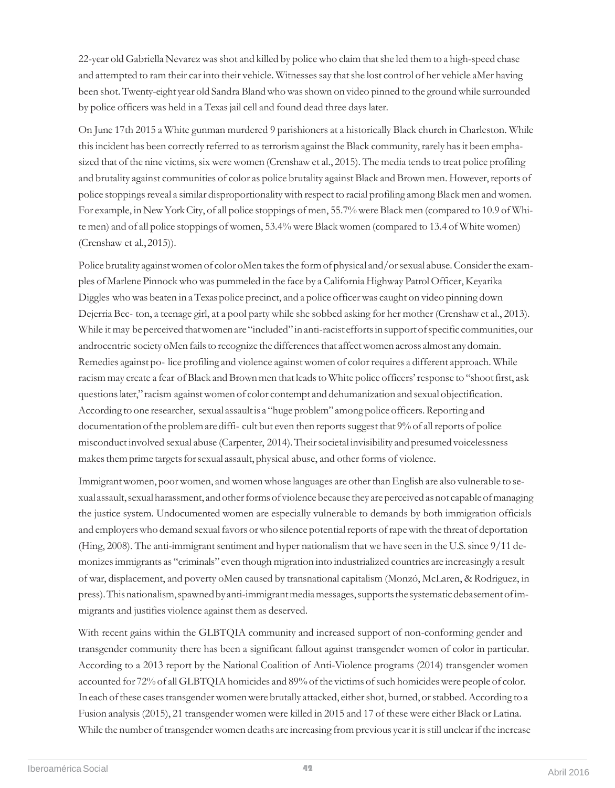22-year old Gabriella Nevarez was shot and killed by police who claim that she led them to a high-speed chase and attempted to ram their car into their vehicle. Witnesses say that she lost control of her vehicle aMer having been shot. Twenty-eight year old Sandra Bland who was shown on video pinned to the ground while surrounded by police officers was held in a Texasjail cell and found dead three days later.

On June 17th 2015 a White gunman murdered 9 parishioners at a historically Black church in Charleston. While this incident has been correctly referred to as terrorism against the Black community, rarely has it been emphasized that of the nine victims, six were women (Crenshaw et al., 2015). The media tends to treat police profiling and brutality against communities of color as police brutality against Black and Brown men. However, reports of police stoppings reveal a similar disproportionality with respect to racial profiling among Black men and women. For example, in New York City, of all police stoppings of men, 55.7% were Black men (compared to 10.9 of White men) and of all police stoppings of women, 53.4% were Blackwomen (compared to 13.4 of White women) (Crenshaw et al.,2015)).

Police brutality against women of color oMen takes the form of physical and/or sexual abuse. Consider the examples of Marlene Pinnockwho was pummeled in the face by a California Highway PatrolOfficer, Keyarika Diggles who was beaten in a Texas police precinct, and a police officer was caught on video pinning down Dejerria Bec- ton, a teenage girl, at a pool party while she sobbed asking for her mother (Crenshaw et al., 2013). While it may be perceived that women are "included" in anti-racist efforts in support of specific communities, our androcentric society oMen fails to recognize the differences that affect women across almost any domain. Remedies against po- lice profiling and violence against women of color requires a different approach. While racism may create a fear of Black and Brown men that leads to White police officers' response to "shoot first, ask questions later," racism against women of color contempt and dehumanization and sexual objectification. According to one researcher, sexual assault is a "huge problem" among police officers. Reporting and documentation of the problem are diffi- cult but even then reports suggest that 9% of all reports of police misconduct involved sexual abuse (Carpenter, 2014). Their societal invisibility and presumed voicelessness makes them prime targets for sexual assault, physical abuse, and other forms of violence.

Immigrant women, poor women, and women whose languages are other than English are also vulnerable to sexual assault, sexual harassment, and other forms of violence because they are perceived as not capable of managing the justice system. Undocumented women are especially vulnerable to demands by both immigration officials and employers who demand sexual favors or who silence potential reports of rape with the threat of deportation (Hing, 2008). The anti-immigrant sentiment and hyper nationalism that we have seen in the U.S. since 9/11 demonizesimmigrants as "criminals" even though migration into industrialized countries are increasingly a result of war, displacement, and poverty oMen caused by transnational capitalism (Monzó, McLaren, & Rodriguez, in press). This nationalism, spawned by anti-immigrant media messages, supports the systematic debasement of immigrants and justifies violence against them as deserved.

With recent gains within the GLBTQIA community and increased support of non-conforming gender and transgender community there has been a significant fallout against transgender women of color in particular. According to a 2013 report by the National Coalition of Anti-Violence programs (2014) transgender women accounted for 72% of all GLBTQIA homicides and 89% of the victims of such homicides were people of color. In each of these cases transgender women were brutally attacked, either shot, burned, or stabbed. According to a Fusion analysis (2015), 21 transgender women were killed in 2015 and 17 of these were either Black or Latina. While the number of transgender women deaths are increasing from previous year it is still unclear if the increase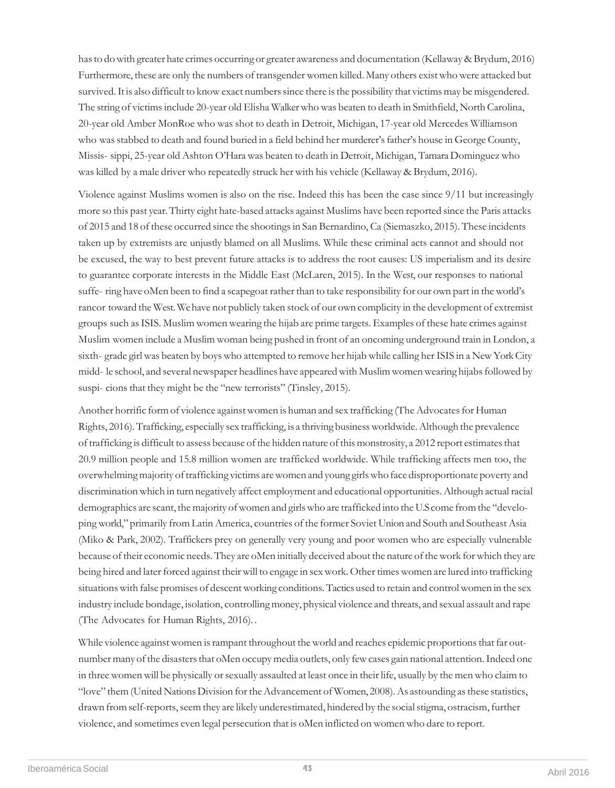hasto dowith greater hate crimes occurring or greater awareness and documentation (Kellaway & Brydum, 2016) Furthermore, these are only the numbers of transgender women killed. Many others existwho were attacked but survived. It is also difficult to know exact numbers since there is the possibility that victims may be misgendered. The string of victims include 20-year old Elisha Walker who was beaten to death in Smithfield, North Carolina, 20-year old Amber MonRoe who was shot to death in Detroit, Michigan, 17-year old Mercedes Williamson who was stabbed to death and found buried in a field behind her murderer's father's house in George County, Missis- sippi, 25-year old Ashton O'Hara was beaten to death in Detroit, Michigan, Tamara Dominguez who was killed by a male driver who repeatedly struck her with his vehicle (Kellaway & Brydum, 2016).

Violence against Muslims women is also on the rise. Indeed this has been the case since 9/11 but increasingly more so this past year.Thirty eight hate-based attacks against Muslims have been reported since the Paris attacks of 2015 and 18 of these occurred since the shootingsin San Bernardino, Ca (Siemaszko, 2015). These incidents taken up by extremists are unjustly blamed on all Muslims. While these criminal acts cannot and should not be excused, the way to best prevent future attacks is to address the root causes: US imperialism and its desire to guarantee corporate interests in the Middle East (McLaren, 2015). In the West, our responses to national suffe- ring have oMen been to find a scapegoat rather than to take responsibility for our own part in the world's rancor toward the West.Wehave not publicly taken stock of our own complicity in the development of extremist groups such asISIS. Muslim women wearing the hijab are prime targets. Examples of these hate crimes against Muslim women include a Muslim woman being pushed in front of an oncoming underground train in London, a sixth- grade girl was beaten by boys who attempted to remove her hijab while calling her ISIS in a New York City midd- le school, and several newspaper headlines have appeared with Muslim women wearing hijabs followed by suspi- cions that they might be the "new terrorists" (Tinsley, 2015).

Another horrific form of violence against women is human and sex trafficking (The Advocates for Human Rights, 2016).Trafficking, especially sex trafficking, is a thriving businessworldwide.Although the prevalence of trafficking is difficult to assess because of the hidden nature of this monstrosity, a 2012 report estimates that 20.9 million people and 15.8 million women are trafficked worldwide. While trafficking affects men too, the overwhelming majority of trafficking victims are women and young girls who face disproportionate poverty and discrimination which in turn negatively affect employment and educational opportunities.Although actual racial demographics are scant, the majority of women and girls who are trafficked into the U.S come from the "developing world," primarily from Latin America, countries of the former Soviet Union and South and Southeast Asia (Miko & Park, 2002). Traffickers prey on generally very young and poor women who are especially vulnerable because of their economic needs. They are oMen initially deceived about the nature of the work for which they are being hired and later forced against their will to engage in sex work. Other times women are lured into trafficking situations with false promises of descent working conditions. Tactics used to retain and control women in the sex industry include bondage, isolation, controlling money, physical violence and threats, and sexual assault and rape (The Advocates for Human Rights, 2016). .

While violence against women is rampant throughout the world and reaches epidemic proportions that far outnumber many of the disasters that oMen occupy media outlets, only few cases gain national attention. Indeed one in three women will be physically or sexually assaulted at least once in their life, usually by the men who claim to "love" them (United Nations Division for the Advancement of Women, 2008). As astounding as these statistics, drawn from self-reports, seem they are likely underestimated, hindered by the social stigma, ostracism, further violence, and sometimes even legal persecution that is oMen inflicted on women who dare to report.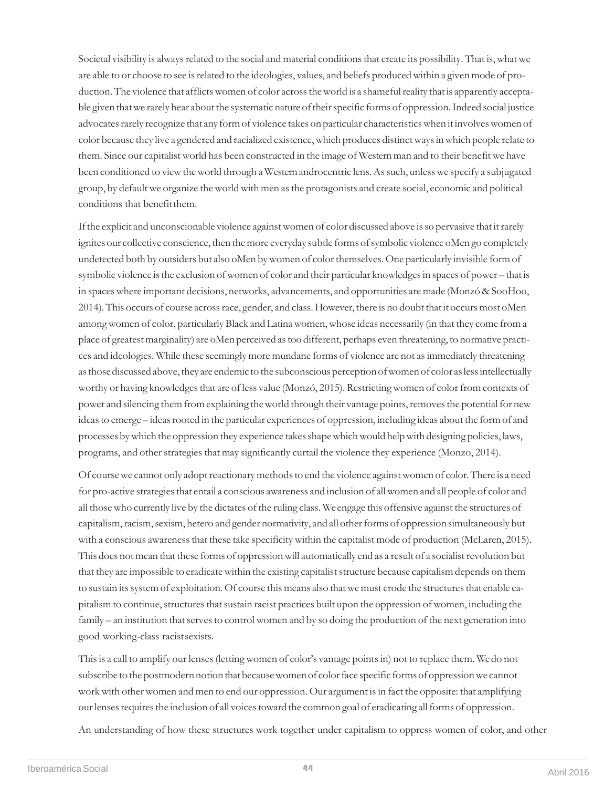Societal visibility is always related to the social and material conditions that create its possibility. That is, what we are able to or choose to see is related to the ideologies, values, and beliefs produced within a given mode of production. The violence that afflicts women of color across the world is a shameful reality that is apparently acceptable given that we rarely hear about the systematic nature of their specific forms of oppression. Indeed social justice advocates rarely recognize that any form of violence takes on particular characteristics when it involves women of color because they live a gendered and racialized existence, which produces distinct ways in which people relate to them. Since our capitalist world has been constructed in the image of Western man and to their benefit we have been conditioned to view the world through a Western androcentric lens. As such, unless we specify a subjugated group, by defaultwe organize theworldwith men asthe protagonists and create social, economic and political conditions that benefitthem.

If the explicit and unconscionable violence against women of color discussed above is so pervasive that it rarely ignites our collective conscience, then the more everyday subtle forms of symbolic violence oMen go completely undetected both by outsiders but also oMen bywomen of colorthemselves. One particularly invisible form of symbolic violence is the exclusion of women of color and their particular knowledges in spaces of power – that is in spaceswhere important decisions, networks, advancements, and opportunities are made (Monzó & SooHoo, 2014). This occurs of course across race, gender, and class. However, there is no doubt that it occurs most oMen among women of color, particularly Black and Latina women, whose ideas necessarily (in that they come from a place of greatestmarginality) are oMen perceived astoo different, perhaps even threatening, to normative practices and ideologies. While these seemingly more mundane forms of violence are not asimmediately threatening as those discussed above, they are endemic to the subconscious perception of women of color as less intellectually worthy or having knowledges that are of less value (Monzó, 2015). Restricting women of color from contexts of power and silencing them from explaining the world through their vantage points, removes the potential for new ideas to emerge – ideas rooted in the particular experiences of oppression, including ideas about the form of and processes by which the oppression they experience takes shape which would help with designing policies, laws, programs, and other strategies that may significantly curtail the violence they experience (Monzo, 2014).

Of course we cannot only adopt reactionary methods to end the violence against women of color. There is a need for pro-active strategies that entail a conscious awareness and inclusion of all women and all people of color and all thosewho currently live by the dictates of the ruling class. We engage this offensive against the structures of capitalism, racism, sexism, hetero and gender normativity, and all other forms of oppression simultaneously but with a conscious awareness that these take specificity within the capitalist mode of production (McLaren, 2015). This does not mean that these forms of oppression will automatically end as a result of a socialist revolution but that they are impossible to eradicate within the existing capitalist structure because capitalism depends on them to sustain its system of exploitation. Of course this means also that we must erode the structures that enable capitalism to continue, structures that sustain racist practices built upon the oppression of women, including the family – an institution that serves to control women and by so doing the production of the next generation into good working-class racistsexists.

This is a call to amplify our lenses (letting women of color's vantage points in) not to replace them. We do not subscribe to the postmodern notion that because women of color face specific forms of oppression we cannot work with other women and men to end our oppression. Our argument is in fact the opposite: that amplifying our lenses requires the inclusion of all voices toward the common goal of eradicating all forms of oppression.

An understanding of how these structures work together under capitalism to oppress women of color, and other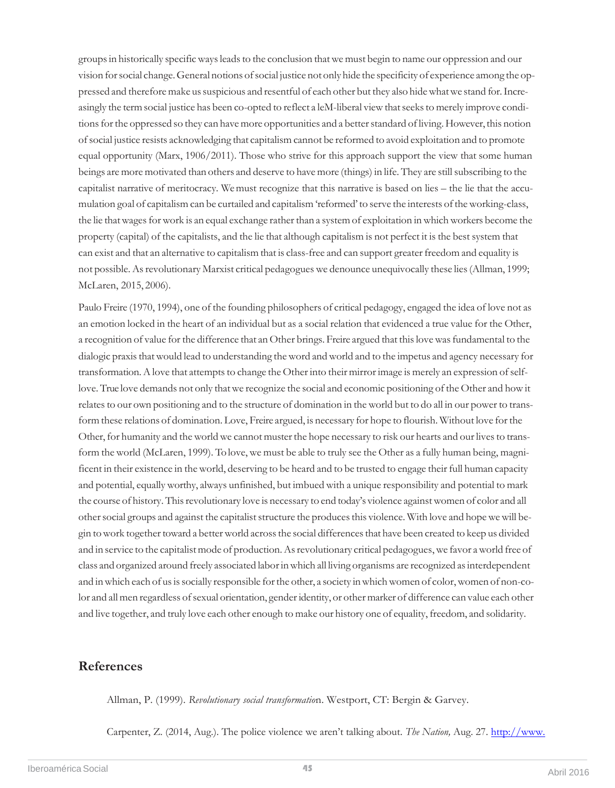groups in historically specific ways leads to the conclusion that we must begin to name our oppression and our vision for social change. General notions of social justice not only hide the specificity of experience among the oppressed and therefore make us suspicious and resentful of each other but they also hide what we stand for. Increasingly the termsocial justice has been co-opted to reflect a leM-liberal viewthatseeksto merely improve conditions for the oppressed so they can have more opportunities and a better standard of living. However, this notion ofsocial justice resists acknowledging that capitalism cannot be reformed to avoid exploitation and to promote equal opportunity (Marx, 1906/2011). Those who strive for this approach support the view that some human beings are more motivated than others and deserve to have more (things) in life. They are still subscribing to the capitalist narrative of meritocracy. We must recognize that this narrative is based on lies – the lie that the accumulation goal of capitalism can be curtailed and capitalism 'reformed' to serve the interests of the working-class, the lie that wages for work is an equal exchange rather than a system of exploitation in which workers become the property (capital) of the capitalists, and the lie that although capitalism is not perfect it is the best system that can exist and that an alternative to capitalism that is class-free and can support greater freedom and equality is not possible. As revolutionary Marxist critical pedagogues we denounce unequivocally these lies (Allman, 1999; McLaren, 2015, 2006).

Paulo Freire (1970, 1994), one of the founding philosophers of critical pedagogy, engaged the idea of love not as an emotion locked in the heart of an individual but as a social relation that evidenced a true value for the Other, a recognition of value for the difference that an Other brings. Freire argued that this love was fundamental to the dialogic praxis that would lead to understanding the word and world and to the impetus and agency necessary for transformation. A love that attempts to change the Other into their mirror image is merely an expression of selflove. True love demands not only that we recognize the social and economic positioning of the Other and how it relates to our own positioning and to the structure of domination in the world but to do all in our power to transform these relations of domination. Love, Freire argued, is necessary for hope to flourish. Without love for the Other, for humanity and the world we cannot muster the hope necessary to risk our hearts and our lives to transform the world (McLaren, 1999). Tolove, we must be able to truly see the Other as a fully human being, magnificent in their existence in the world, deserving to be heard and to be trusted to engage their full human capacity and potential, equally worthy, always unfinished, but imbued with a unique responsibility and potential to mark the course of history. This revolutionary love is necessary to end today's violence against women of color and all other social groups and against the capitalist structure the produces this violence. With love and hope we will begin to work together toward a better world across the social differences that have been created to keep us divided and in service to the capitalist mode of production. As revolutionary critical pedagogues, we favor a world free of class and organized around freely associated laborinwhich all living organisms are recognized asinterdependent and in which each of us is socially responsible for the other, a society in which women of color, women of non-color and all men regardless of sexual orientation, gender identity, or other marker of difference can value each other and live together, and truly love each other enough to make our history one of equality, freedom, and solidarity.

## **References**

Allman, P. (1999). *Revolutionary social transformatio*n. Westport, CT: Bergin & Garvey.

Carpenter, Z. (2014, Aug.). The police violence we aren't talking about. *The Nation,* Aug. 27. [http://www.](http://www./)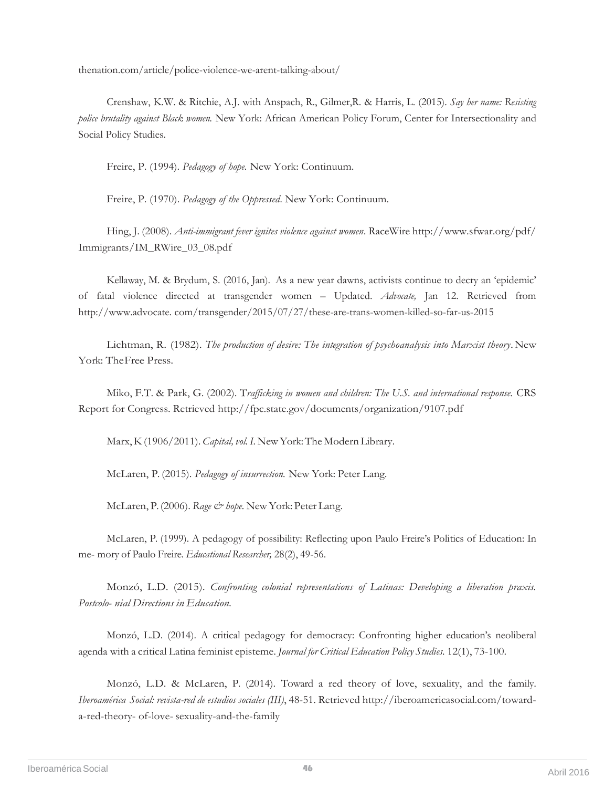thenation.com/article/police-violence-we-arent-talking-about/

Crenshaw, K.W. & Ritchie, A.J. with Anspach, R., Gilmer,R. & Harris, L. (2015). *Say her name: Resisting police brutality against Black women.* New York: African American Policy Forum, Center for Intersectionality and Social Policy Studies.

Freire, P. (1994). *Pedagogy of hope.* New York: Continuum.

Freire, P. (1970). *Pedagogy of the Oppressed*. New York: Continuum.

Hing, J. (2008). *Anti-immigrant fever ignites violence against women*. RaceWire <http://www.sfwar.org/pdf/> Immigrants/IM\_RWire\_03\_08.pdf

Kellaway, M. & Brydum, S. (2016, Jan). As a new year dawns, activists continue to decry an 'epidemic' of fatal violence directed at transgender women – Updated. *Advocate,* Jan 12. Retrieved from http://www.advocate. com/transgender/2015/07/27/these-are-trans-women-killed-so-far-us-2015

Lichtman, R. (1982). *The production of desire: The integration of psychoanalysis into Marxist theory*.New York: TheFree Press.

Miko, F.T. & Park, G. (2002). T*rafficking in women and children: The U.S. and international response.* CRS Report for Congress. Retrieved<http://fpc.state.gov/documents/organization/9107.pdf>

Marx,K(1906/2011).*Capital,vol.I.* NewYork:The Modern Library.

McLaren, P. (2015). *Pedagogy of insurrection.* New York: Peter Lang.

McLaren, P.(2006). *Rage & hope.* New York: Peter Lang.

McLaren, P. (1999). A pedagogy of possibility: Reflecting upon Paulo Freire's Politics of Education: In me- mory of Paulo Freire. *Educational Researcher,* 28(2), 49-56.

Monzó, L.D. (2015). *Confronting colonial representations of Latinas: Developing a liberation praxis. Postcolo- nial Directions in Education.*

Monzó, L.D. (2014). A critical pedagogy for democracy: Confronting higher education's neoliberal agenda with a critical Latina feminist episteme. *Journal for Critical Education Policy Studies.* 12(1), 73-100.

Monzó, L.D. & McLaren, P. (2014). Toward a red theory of love, sexuality, and the family. *Iberoamérica Social: revista-red de estudios sociales (III)*, 48-51. Retrieved [http://iberoamericasocial.com/toward](http://iberoamericasocial.com/toward-a-red-theory-)[a-red-theory-](http://iberoamericasocial.com/toward-a-red-theory-) of-love-sexuality-and-the-family